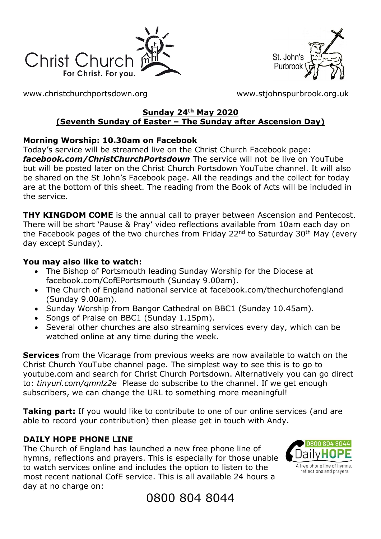



[www.christchurchportsdown.org](http://www.christchurchportsdown.org/) [www.stjohnspurbrook.org.uk](http://www.stjohnspurbrook.org.uk/)

#### **Sunday 24th May 2020 (Seventh Sunday of Easter – The Sunday after Ascension Day)**

#### **Morning Worship: 10.30am on Facebook**

Today's service will be streamed live on the Christ Church Facebook page: *[facebook.com/ChristChurchPortsdown](http://www.facebook.com/ChristChurchPortsdown%20at%2010.30)* The service will not be live on YouTube but will be posted later on the Christ Church Portsdown YouTube channel. It will also be shared on the St John's Facebook page. All the readings and the collect for today are at the bottom of this sheet. The reading from the Book of Acts will be included in the service.

**THY KINGDOM COME** is the annual call to prayer between Ascension and Pentecost. There will be short 'Pause & Pray' video reflections available from 10am each day on the Facebook pages of the two churches from Friday 22<sup>nd</sup> to Saturday 30<sup>th</sup> May (every day except Sunday).

#### **You may also like to watch:**

- The Bishop of Portsmouth leading Sunday Worship for the Diocese at facebook.com/CofEPortsmouth (Sunday 9.00am).
- The Church of England national service at facebook.com/thechurchofengland (Sunday 9.00am).
- Sunday Worship from Bangor Cathedral on BBC1 (Sunday 10.45am).
- Songs of Praise on BBC1 (Sunday 1.15pm).
- Several other churches are also streaming services every day, which can be watched online at any time during the week.

**Services** from the Vicarage from previous weeks are now available to watch on the Christ Church YouTube channel page. The simplest way to see this is to go to youtube.com and search for Christ Church Portsdown. Alternatively you can go direct to: *tinyurl.com/qmnlz2e* Please do subscribe to the channel. If we get enough subscribers, we can change the URL to something more meaningful!

**Taking part:** If you would like to contribute to one of our online services (and are able to record your contribution) then please get in touch with Andy.

## **DAILY HOPE PHONE LINE**

The Church of England has launched a new free phone line of hymns, reflections and prayers. This is especially for those unable to watch services online and includes the option to listen to the most recent national CofE service. This is all available 24 hours a day at no charge on:



0800 804 8044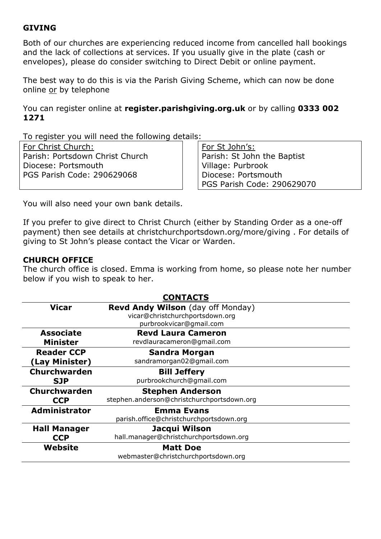#### **GIVING**

Both of our churches are experiencing reduced income from cancelled hall bookings and the lack of collections at services. If you usually give in the plate (cash or envelopes), please do consider switching to Direct Debit or online payment.

The best way to do this is via the Parish Giving Scheme, which can now be done online or by telephone

You can register online at **register.parishgiving.org.uk** or by calling **0333 002 1271**

To register you will need the following details:

For Christ Church: Parish: Portsdown Christ Church Diocese: Portsmouth PGS Parish Code: 290629068

For St John's: Parish: St John the Baptist Village: Purbrook Diocese: Portsmouth PGS Parish Code: 290629070

You will also need your own bank details.

If you prefer to give direct to Christ Church (either by Standing Order as a one-off payment) then see details at christchurchportsdown.org/more/giving . For details of giving to St John's please contact the Vicar or Warden.

#### **CHURCH OFFICE**

The church office is closed. Emma is working from home, so please note her number below if you wish to speak to her.

| <b>CONTACTS</b>     |                                            |
|---------------------|--------------------------------------------|
| <b>Vicar</b>        | <b>Revd Andy Wilson</b> (day off Monday)   |
|                     | vicar@christchurchportsdown.org            |
|                     | purbrookvicar@gmail.com                    |
| <b>Associate</b>    | <b>Revd Laura Cameron</b>                  |
| <b>Minister</b>     | revdlauracameron@gmail.com                 |
| <b>Reader CCP</b>   | <b>Sandra Morgan</b>                       |
| (Lay Minister)      | sandramorgan02@gmail.com                   |
| Churchwarden        | <b>Bill Jeffery</b>                        |
| <b>SJP</b>          | purbrookchurch@gmail.com                   |
| Churchwarden        | <b>Stephen Anderson</b>                    |
| <b>CCP</b>          | stephen.anderson@christchurchportsdown.org |
| Administrator       | <b>Emma Evans</b>                          |
|                     | parish.office@christchurchportsdown.org    |
| <b>Hall Manager</b> | Jacqui Wilson                              |
| <b>CCP</b>          | hall.manager@christchurchportsdown.org     |
| Website             | <b>Matt Doe</b>                            |
|                     | webmaster@christchurchportsdown.org        |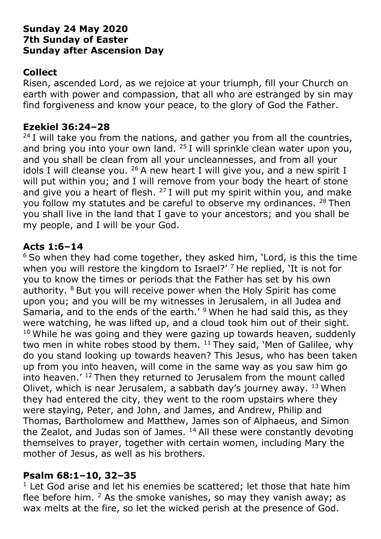## **Sunday 24 May 2020 7th Sunday of Easter Sunday after Ascension Day**

# **Collect**

Risen, ascended Lord, as we rejoice at your triumph, fill your Church on earth with power and compassion, that all who are estranged by sin may find forgiveness and know your peace, to the glory of God the Father.

## **Ezekiel 36:24–28**

 $24$  I will take you from the nations, and gather you from all the countries, and bring you into your own land.  $25$  I will sprinkle clean water upon you, and you shall be clean from all your uncleannesses, and from all your idols I will cleanse you.  $26$  A new heart I will give you, and a new spirit I will put within you; and I will remove from your body the heart of stone and give you a heart of flesh.  $27$  I will put my spirit within you, and make you follow my statutes and be careful to observe my ordinances. <sup>28</sup> Then you shall live in the land that I gave to your ancestors; and you shall be my people, and I will be your God.

# **Acts 1:6–14**

 $6$  So when they had come together, they asked him, 'Lord, is this the time when you will restore the kingdom to Israel?' <sup>7</sup> He replied, 'It is not for you to know the times or periods that the Father has set by his own authority. <sup>8</sup> But you will receive power when the Holy Spirit has come upon you; and you will be my witnesses in Jerusalem, in all Judea and Samaria, and to the ends of the earth.'<sup>9</sup> When he had said this, as they were watching, he was lifted up, and a cloud took him out of their sight.  $10$  While he was going and they were gazing up towards heaven, suddenly two men in white robes stood by them.  $11$  They said, 'Men of Galilee, why do you stand looking up towards heaven? This Jesus, who has been taken up from you into heaven, will come in the same way as you saw him go into heaven.' <sup>12</sup> Then they returned to Jerusalem from the mount called Olivet, which is near Jerusalem, a sabbath day's journey away. <sup>13</sup> When they had entered the city, they went to the room upstairs where they were staying, Peter, and John, and James, and Andrew, Philip and Thomas, Bartholomew and Matthew, James son of Alphaeus, and Simon the Zealot, and Judas son of James.  $14$  All these were constantly devoting themselves to prayer, together with certain women, including Mary the mother of Jesus, as well as his brothers.

## **Psalm 68:1–10, 32–35**

 $1$  Let God arise and let his enemies be scattered; let those that hate him flee before him.  $2$  As the smoke vanishes, so may they vanish away; as wax melts at the fire, so let the wicked perish at the presence of God.